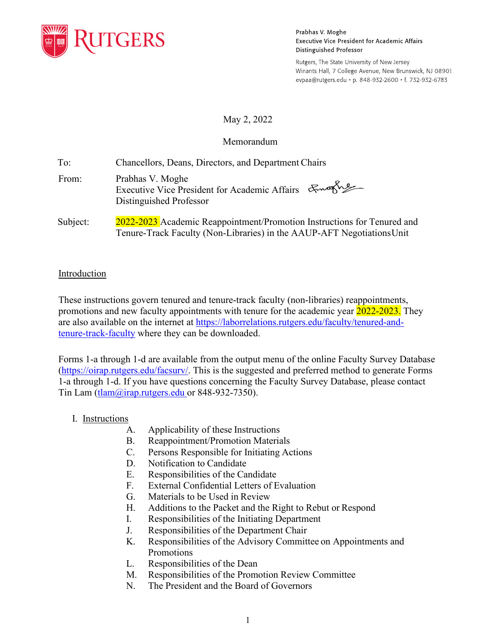

Prabhas V. Moghe Executive Vice President for Academic Affairs Distinguished Professor

Rutgers, The State University of New Jersey Winants Hall, 7 College Avenue, New Brunswick, NJ 08901 evpaa@rutgers.edu • p. 848-932-2600 • f. 732-932-6783

# May 2, 2022

# Memorandum

| To:      | Chancellors, Deans, Directors, and Department Chairs                                                                                              |
|----------|---------------------------------------------------------------------------------------------------------------------------------------------------|
| From:    | Prabhas V. Moghe<br>Executive Vice President for Academic Affairs & waging<br>Distinguished Professor                                             |
| Subject: | 2022-2023 Academic Reappointment/Promotion Instructions for Tenured and<br>Tenure-Track Faculty (Non-Libraries) in the AAUP-AFT Negotiations Unit |

# Introduction

These instructions govern tenured and tenure-track faculty (non-libraries) reappointments, promotions and new faculty appointments with tenure for the academic year 2022-2023. They are also available on the internet at [https://laborrelations.rutgers.edu/faculty/tenured-and](https://laborrelations.rutgers.edu/faculty/tenured-and-tenure-track-faculty)[tenure-track-faculty](https://laborrelations.rutgers.edu/faculty/tenured-and-tenure-track-faculty) where they can be downloaded.

Forms 1-a through 1-d are available from the output menu of the online Faculty Survey Database [\(https://oirap.rutgers.edu/facsurv/.](https://oirap.rutgers.edu/facsurv/) This is the suggested and preferred method to generate Forms 1-a through 1-d. If you have questions concerning the Faculty Survey Database, please contact Tin Lam [\(tlam@irap.rutgers.edu o](mailto:(tlam@irap.rutgers.edu)r 848-932-7350).

# I. Instructions

- A. Applicability of these Instructions
- B. Reappointment/Promotion Materials
- C. Persons Responsible for Initiating Actions
- D. Notification to Candidate
- E. Responsibilities of the Candidate
- F. External Confidential Letters of Evaluation
- G. Materials to be Used in Review
- H. Additions to the Packet and the Right to Rebut or Respond
- I. Responsibilities of the Initiating Department
- J. Responsibilities of the Department Chair
- K. Responsibilities of the Advisory Committee on Appointments and Promotions
- L. Responsibilities of the Dean
- M. Responsibilities of the Promotion Review Committee
- N. The President and the Board of Governors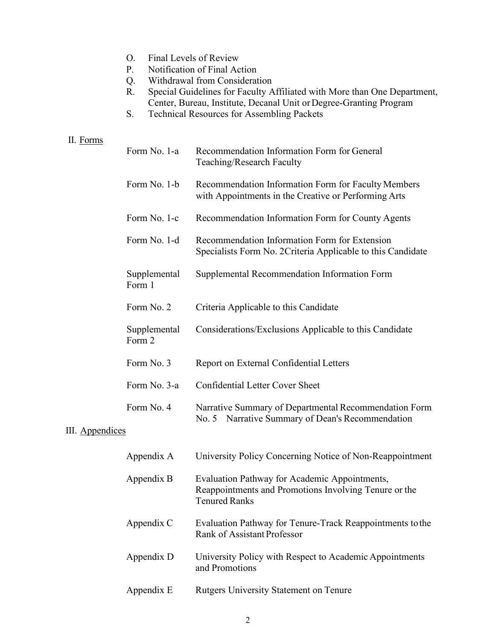- O. Final Levels of Review
- P. Notification of Final Action
- Q. Withdrawal from Consideration
- R. Special Guidelines for Faculty Affiliated with More than One Department, Center, Bureau, Institute, Decanal Unit or Degree-Granting Program
- S. Technical Resources for Assembling Packets

# II. Forms

|                 | Form No. 1-a           | Recommendation Information Form for General<br>Teaching/Research Faculty                                                       |  |  |
|-----------------|------------------------|--------------------------------------------------------------------------------------------------------------------------------|--|--|
|                 | Form No. 1-b           | Recommendation Information Form for Faculty Members<br>with Appointments in the Creative or Performing Arts                    |  |  |
|                 | Form No. 1-c           | Recommendation Information Form for County Agents                                                                              |  |  |
|                 | Form No. 1-d           | Recommendation Information Form for Extension<br>Specialists Form No. 2 Criteria Applicable to this Candidate                  |  |  |
|                 | Supplemental<br>Form 1 | Supplemental Recommendation Information Form                                                                                   |  |  |
|                 | Form No. 2             | Criteria Applicable to this Candidate                                                                                          |  |  |
|                 | Supplemental<br>Form 2 | Considerations/Exclusions Applicable to this Candidate                                                                         |  |  |
|                 | Form No. 3             | Report on External Confidential Letters                                                                                        |  |  |
|                 | Form No. 3-a           | <b>Confidential Letter Cover Sheet</b>                                                                                         |  |  |
|                 | Form No. 4             | Narrative Summary of Departmental Recommendation Form<br>Narrative Summary of Dean's Recommendation<br>No. 5                   |  |  |
| III. Appendices |                        |                                                                                                                                |  |  |
|                 | Appendix A             | University Policy Concerning Notice of Non-Reappointment                                                                       |  |  |
|                 | Appendix B             | Evaluation Pathway for Academic Appointments,<br>Reappointments and Promotions Involving Tenure or the<br><b>Tenured Ranks</b> |  |  |
|                 | Appendix C             | Evaluation Pathway for Tenure-Track Reappointments to the<br><b>Rank of Assistant Professor</b>                                |  |  |
|                 | Appendix D             | University Policy with Respect to Academic Appointments<br>and Promotions                                                      |  |  |
|                 | Appendix E             | <b>Rutgers University Statement on Tenure</b>                                                                                  |  |  |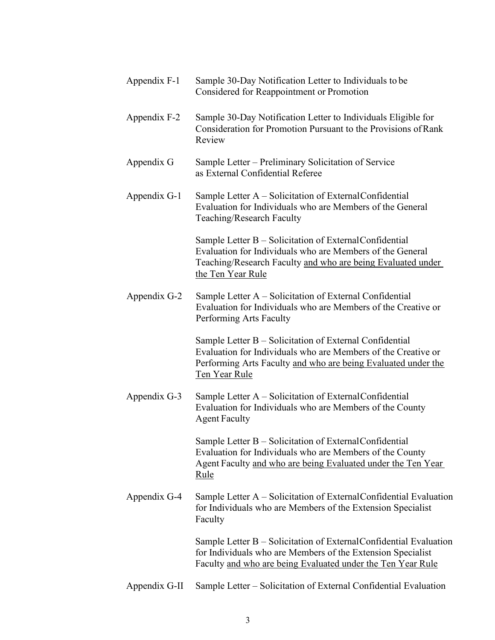| Appendix F-1  | Sample 30-Day Notification Letter to Individuals to be<br>Considered for Reappointment or Promotion                                                                                                        |
|---------------|------------------------------------------------------------------------------------------------------------------------------------------------------------------------------------------------------------|
| Appendix F-2  | Sample 30-Day Notification Letter to Individuals Eligible for<br>Consideration for Promotion Pursuant to the Provisions of Rank<br>Review                                                                  |
| Appendix G    | Sample Letter – Preliminary Solicitation of Service<br>as External Confidential Referee                                                                                                                    |
| Appendix G-1  | Sample Letter A – Solicitation of External Confidential<br>Evaluation for Individuals who are Members of the General<br>Teaching/Research Faculty                                                          |
|               | Sample Letter B – Solicitation of External Confidential<br>Evaluation for Individuals who are Members of the General<br>Teaching/Research Faculty and who are being Evaluated under<br>the Ten Year Rule   |
| Appendix G-2  | Sample Letter A – Solicitation of External Confidential<br>Evaluation for Individuals who are Members of the Creative or<br>Performing Arts Faculty                                                        |
|               | Sample Letter B – Solicitation of External Confidential<br>Evaluation for Individuals who are Members of the Creative or<br>Performing Arts Faculty and who are being Evaluated under the<br>Ten Year Rule |
| Appendix G-3  | Sample Letter A – Solicitation of External Confidential<br>Evaluation for Individuals who are Members of the County<br><b>Agent Faculty</b>                                                                |
|               | Sample Letter B - Solicitation of External Confidential<br>Evaluation for Individuals who are Members of the County<br>Agent Faculty and who are being Evaluated under the Ten Year<br>Rule                |
| Appendix G-4  | Sample Letter A – Solicitation of External Confidential Evaluation<br>for Individuals who are Members of the Extension Specialist<br>Faculty                                                               |
|               | Sample Letter B – Solicitation of External Confidential Evaluation<br>for Individuals who are Members of the Extension Specialist<br>Faculty and who are being Evaluated under the Ten Year Rule           |
| Appendix G-II | Sample Letter – Solicitation of External Confidential Evaluation                                                                                                                                           |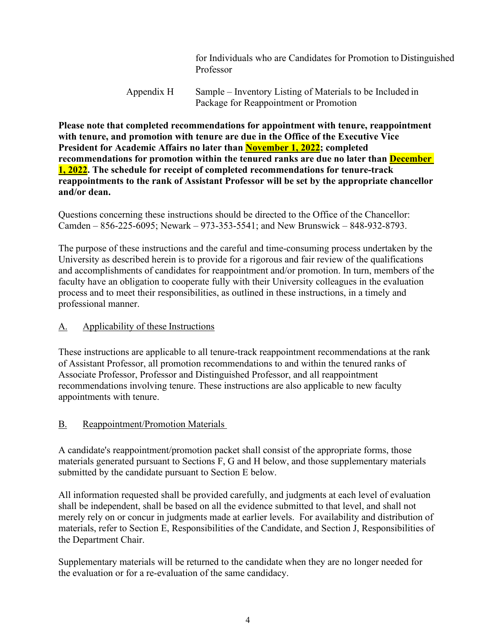for Individuals who are Candidates for Promotion to Distinguished Professor

Appendix H Sample – Inventory Listing of Materials to be Included in Package for Reappointment or Promotion

**Please note that completed recommendations for appointment with tenure, reappointment with tenure, and promotion with tenure are due in the Office of the Executive Vice President for Academic Affairs no later than November 1, 2022; completed recommendations for promotion within the tenured ranks are due no later than December 1, 2022. The schedule for receipt of completed recommendations for tenure-track reappointments to the rank of Assistant Professor will be set by the appropriate chancellor and/or dean.**

Questions concerning these instructions should be directed to the Office of the Chancellor: Camden – 856-225-6095; Newark – 973-353-5541; and New Brunswick – 848-932-8793.

The purpose of these instructions and the careful and time-consuming process undertaken by the University as described herein is to provide for a rigorous and fair review of the qualifications and accomplishments of candidates for reappointment and/or promotion. In turn, members of the faculty have an obligation to cooperate fully with their University colleagues in the evaluation process and to meet their responsibilities, as outlined in these instructions, in a timely and professional manner.

# A. Applicability of these Instructions

These instructions are applicable to all tenure-track reappointment recommendations at the rank of Assistant Professor, all promotion recommendations to and within the tenured ranks of Associate Professor, Professor and Distinguished Professor, and all reappointment recommendations involving tenure. These instructions are also applicable to new faculty appointments with tenure.

# B. Reappointment/Promotion Materials

A candidate's reappointment/promotion packet shall consist of the appropriate forms, those materials generated pursuant to Sections F, G and H below, and those supplementary materials submitted by the candidate pursuant to Section E below.

All information requested shall be provided carefully, and judgments at each level of evaluation shall be independent, shall be based on all the evidence submitted to that level, and shall not merely rely on or concur in judgments made at earlier levels. For availability and distribution of materials, refer to Section E, Responsibilities of the Candidate, and Section J, Responsibilities of the Department Chair.

Supplementary materials will be returned to the candidate when they are no longer needed for the evaluation or for a re-evaluation of the same candidacy.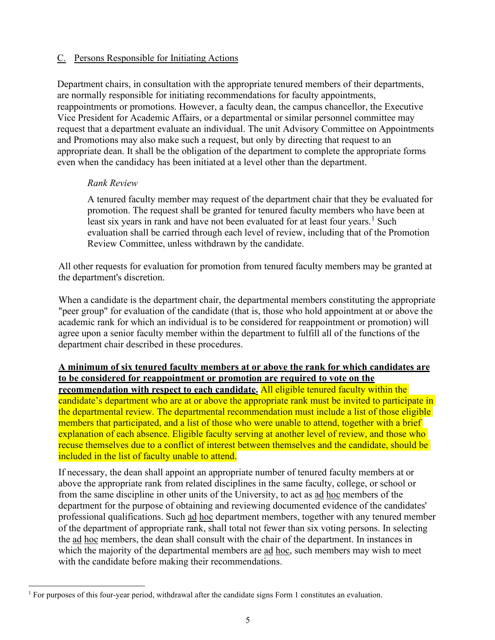# C. Persons Responsible for Initiating Actions

Department chairs, in consultation with the appropriate tenured members of their departments, are normally responsible for initiating recommendations for faculty appointments, reappointments or promotions. However, a faculty dean, the campus chancellor, the Executive Vice President for Academic Affairs, or a departmental or similar personnel committee may request that a department evaluate an individual. The unit Advisory Committee on Appointments and Promotions may also make such a request, but only by directing that request to an appropriate dean. It shall be the obligation of the department to complete the appropriate forms even when the candidacy has been initiated at a level other than the department.

### *Rank Review*

A tenured faculty member may request of the department chair that they be evaluated for promotion. The request shall be granted for tenured faculty members who have been at least six years in rank and have not been evaluated for at least four years.<sup>[1](#page-4-0)</sup> Such evaluation shall be carried through each level of review, including that of the Promotion Review Committee, unless withdrawn by the candidate.

All other requests for evaluation for promotion from tenured faculty members may be granted at the department's discretion.

When a candidate is the department chair, the departmental members constituting the appropriate "peer group" for evaluation of the candidate (that is, those who hold appointment at or above the academic rank for which an individual is to be considered for reappointment or promotion) will agree upon a senior faculty member within the department to fulfill all of the functions of the department chair described in these procedures.

#### **A minimum of six tenured faculty members at or above the rank for which candidates are to be considered for reappointment or promotion are required to vote on the**

**recommendation with respect to each candidate.** All eligible tenured faculty within the candidate's department who are at or above the appropriate rank must be invited to participate in the departmental review. The departmental recommendation must include a list of those eligible members that participated, and a list of those who were unable to attend, together with a brief explanation of each absence. Eligible faculty serving at another level of review, and those who recuse themselves due to a conflict of interest between themselves and the candidate, should be included in the list of faculty unable to attend.

If necessary, the dean shall appoint an appropriate number of tenured faculty members at or above the appropriate rank from related disciplines in the same faculty, college, or school or from the same discipline in other units of the University, to act as ad hoc members of the department for the purpose of obtaining and reviewing documented evidence of the candidates' professional qualifications. Such ad hoc department members, together with any tenured member of the department of appropriate rank, shall total not fewer than six voting persons. In selecting the ad hoc members, the dean shall consult with the chair of the department. In instances in which the majority of the departmental members are ad hoc, such members may wish to meet with the candidate before making their recommendations.

<span id="page-4-0"></span><sup>&</sup>lt;sup>1</sup> For purposes of this four-year period, withdrawal after the candidate signs Form 1 constitutes an evaluation.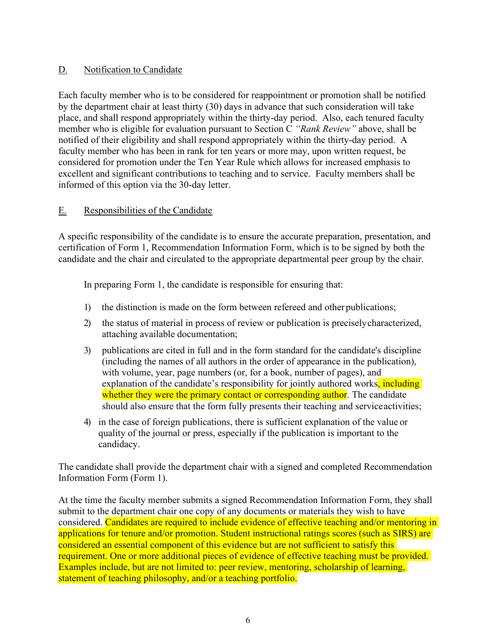# D. Notification to Candidate

Each faculty member who is to be considered for reappointment or promotion shall be notified by the department chair at least thirty (30) days in advance that such consideration will take place, and shall respond appropriately within the thirty-day period. Also, each tenured faculty member who is eligible for evaluation pursuant to Section C *"Rank Review"* above, shall be notified of their eligibility and shall respond appropriately within the thirty-day period. A faculty member who has been in rank for ten years or more may, upon written request, be considered for promotion under the Ten Year Rule which allows for increased emphasis to excellent and significant contributions to teaching and to service. Faculty members shall be informed of this option via the 30-day letter.

# E. Responsibilities of the Candidate

A specific responsibility of the candidate is to ensure the accurate preparation, presentation, and certification of Form 1, Recommendation Information Form, which is to be signed by both the candidate and the chair and circulated to the appropriate departmental peer group by the chair.

In preparing Form 1, the candidate is responsible for ensuring that:

- 1) the distinction is made on the form between refereed and other publications;
- 2) the status of material in process of review or publication is preciselycharacterized, attaching available documentation;
- 3) publications are cited in full and in the form standard for the candidate's discipline (including the names of all authors in the order of appearance in the publication), with volume, year, page numbers (or, for a book, number of pages), and explanation of the candidate's responsibility for jointly authored works, including whether they were the primary contact or corresponding author. The candidate should also ensure that the form fully presents their teaching and service activities;
- 4) in the case of foreign publications, there is sufficient explanation of the value or quality of the journal or press, especially if the publication is important to the candidacy.

The candidate shall provide the department chair with a signed and completed Recommendation Information Form (Form 1).

At the time the faculty member submits a signed Recommendation Information Form, they shall submit to the department chair one copy of any documents or materials they wish to have considered. Candidates are required to include evidence of effective teaching and/or mentoring in applications for tenure and/or promotion. Student instructional ratings scores (such as SIRS) are considered an essential component of this evidence but are not sufficient to satisfy this requirement. One or more additional pieces of evidence of effective teaching must be provided. Examples include, but are not limited to: peer review, mentoring, scholarship of learning, statement of teaching philosophy, and/or a teaching portfolio.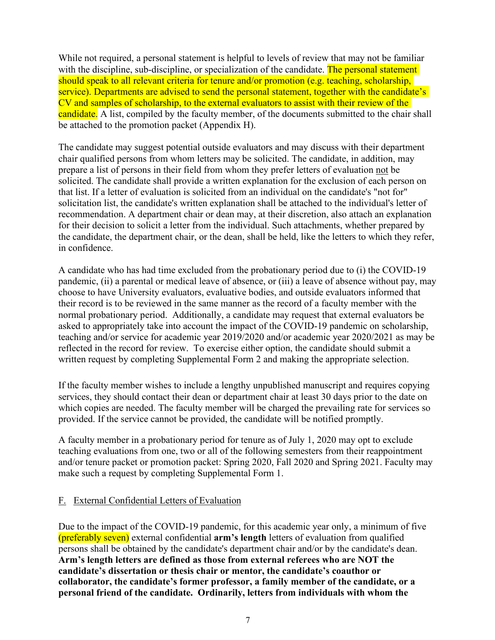While not required, a personal statement is helpful to levels of review that may not be familiar with the discipline, sub-discipline, or specialization of the candidate. The personal statement should speak to all relevant criteria for tenure and/or promotion (e.g. teaching, scholarship, service). Departments are advised to send the personal statement, together with the candidate's CV and samples of scholarship, to the external evaluators to assist with their review of the candidate. A list, compiled by the faculty member, of the documents submitted to the chair shall be attached to the promotion packet (Appendix H).

The candidate may suggest potential outside evaluators and may discuss with their department chair qualified persons from whom letters may be solicited. The candidate, in addition, may prepare a list of persons in their field from whom they prefer letters of evaluation not be solicited. The candidate shall provide a written explanation for the exclusion of each person on that list. If a letter of evaluation is solicited from an individual on the candidate's "not for" solicitation list, the candidate's written explanation shall be attached to the individual's letter of recommendation. A department chair or dean may, at their discretion, also attach an explanation for their decision to solicit a letter from the individual. Such attachments, whether prepared by the candidate, the department chair, or the dean, shall be held, like the letters to which they refer, in confidence.

A candidate who has had time excluded from the probationary period due to (i) the COVID-19 pandemic, (ii) a parental or medical leave of absence, or (iii) a leave of absence without pay, may choose to have University evaluators, evaluative bodies, and outside evaluators informed that their record is to be reviewed in the same manner as the record of a faculty member with the normal probationary period. Additionally, a candidate may request that external evaluators be asked to appropriately take into account the impact of the COVID-19 pandemic on scholarship, teaching and/or service for academic year 2019/2020 and/or academic year 2020/2021 as may be reflected in the record for review. To exercise either option, the candidate should submit a written request by completing Supplemental Form 2 and making the appropriate selection.

If the faculty member wishes to include a lengthy unpublished manuscript and requires copying services, they should contact their dean or department chair at least 30 days prior to the date on which copies are needed. The faculty member will be charged the prevailing rate for services so provided. If the service cannot be provided, the candidate will be notified promptly.

A faculty member in a probationary period for tenure as of July 1, 2020 may opt to exclude teaching evaluations from one, two or all of the following semesters from their reappointment and/or tenure packet or promotion packet: Spring 2020, Fall 2020 and Spring 2021. Faculty may make such a request by completing Supplemental Form 1.

# F. External Confidential Letters of Evaluation

Due to the impact of the COVID-19 pandemic, for this academic year only, a minimum of five (preferably seven) external confidential **arm's length** letters of evaluation from qualified persons shall be obtained by the candidate's department chair and/or by the candidate's dean. **Arm's length letters are defined as those from external referees who are NOT the candidate's dissertation or thesis chair or mentor, the candidate's coauthor or collaborator, the candidate's former professor, a family member of the candidate, or a personal friend of the candidate. Ordinarily, letters from individuals with whom the**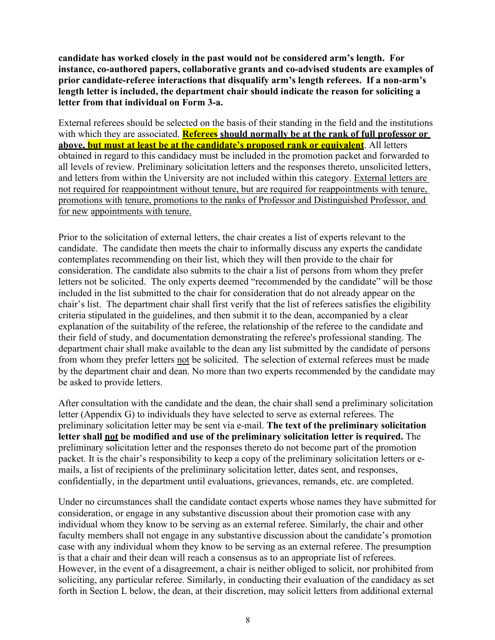**candidate has worked closely in the past would not be considered arm's length. For instance, co-authored papers, collaborative grants and co-advised students are examples of prior candidate-referee interactions that disqualify arm's length referees. If a non-arm's length letter is included, the department chair should indicate the reason for soliciting a letter from that individual on Form 3-a.** 

External referees should be selected on the basis of their standing in the field and the institutions with which they are associated. **Referees should normally be at the rank of full professor or above, but must at least be at the candidate's proposed rank or equivalent**. All letters obtained in regard to this candidacy must be included in the promotion packet and forwarded to all levels of review. Preliminary solicitation letters and the responses thereto, unsolicited letters, and letters from within the University are not included within this category. External letters are not required for reappointment without tenure, but are required for reappointments with tenure, promotions with tenure, promotions to the ranks of Professor and Distinguished Professor, and for new appointments with tenure.

Prior to the solicitation of external letters, the chair creates a list of experts relevant to the candidate. The candidate then meets the chair to informally discuss any experts the candidate contemplates recommending on their list, which they will then provide to the chair for consideration. The candidate also submits to the chair a list of persons from whom they prefer letters not be solicited. The only experts deemed "recommended by the candidate" will be those included in the list submitted to the chair for consideration that do not already appear on the chair's list. The department chair shall first verify that the list of referees satisfies the eligibility criteria stipulated in the guidelines, and then submit it to the dean, accompanied by a clear explanation of the suitability of the referee, the relationship of the referee to the candidate and their field of study, and documentation demonstrating the referee's professional standing. The department chair shall make available to the dean any list submitted by the candidate of persons from whom they prefer letters not be solicited. The selection of external referees must be made by the department chair and dean. No more than two experts recommended by the candidate may be asked to provide letters.

After consultation with the candidate and the dean, the chair shall send a preliminary solicitation letter (Appendix G) to individuals they have selected to serve as external referees. The preliminary solicitation letter may be sent via e-mail. **The text of the preliminary solicitation letter shall not be modified and use of the preliminary solicitation letter is required.** The preliminary solicitation letter and the responses thereto do not become part of the promotion packet. It is the chair's responsibility to keep a copy of the preliminary solicitation letters or emails, a list of recipients of the preliminary solicitation letter, dates sent, and responses, confidentially, in the department until evaluations, grievances, remands, etc. are completed.

Under no circumstances shall the candidate contact experts whose names they have submitted for consideration, or engage in any substantive discussion about their promotion case with any individual whom they know to be serving as an external referee. Similarly, the chair and other faculty members shall not engage in any substantive discussion about the candidate's promotion case with any individual whom they know to be serving as an external referee. The presumption is that a chair and their dean will reach a consensus as to an appropriate list of referees. However, in the event of a disagreement, a chair is neither obliged to solicit, nor prohibited from soliciting, any particular referee. Similarly, in conducting their evaluation of the candidacy as set forth in Section L below, the dean, at their discretion, may solicit letters from additional external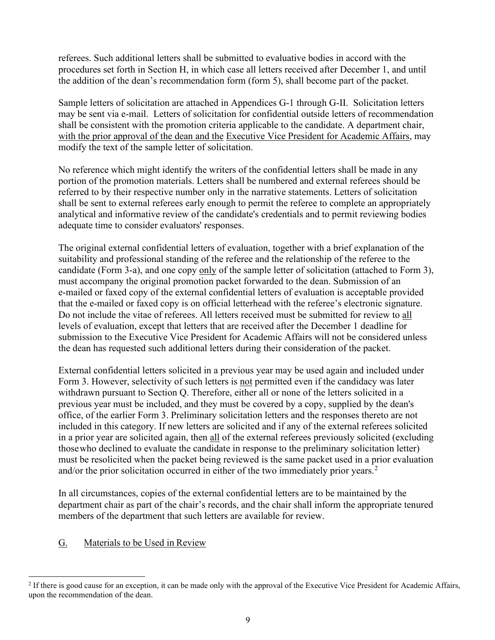referees. Such additional letters shall be submitted to evaluative bodies in accord with the procedures set forth in Section H, in which case all letters received after December 1, and until the addition of the dean's recommendation form (form 5), shall become part of the packet.

Sample letters of solicitation are attached in Appendices G-1 through G-II. Solicitation letters may be sent via e-mail. Letters of solicitation for confidential outside letters of recommendation shall be consistent with the promotion criteria applicable to the candidate. A department chair, with the prior approval of the dean and the Executive Vice President for Academic Affairs, may modify the text of the sample letter of solicitation.

No reference which might identify the writers of the confidential letters shall be made in any portion of the promotion materials. Letters shall be numbered and external referees should be referred to by their respective number only in the narrative statements. Letters of solicitation shall be sent to external referees early enough to permit the referee to complete an appropriately analytical and informative review of the candidate's credentials and to permit reviewing bodies adequate time to consider evaluators' responses.

The original external confidential letters of evaluation, together with a brief explanation of the suitability and professional standing of the referee and the relationship of the referee to the candidate (Form 3-a), and one copy only of the sample letter of solicitation (attached to Form 3), must accompany the original promotion packet forwarded to the dean. Submission of an e-mailed or faxed copy of the external confidential letters of evaluation is acceptable provided that the e-mailed or faxed copy is on official letterhead with the referee's electronic signature. Do not include the vitae of referees. All letters received must be submitted for review to all levels of evaluation, except that letters that are received after the December 1 deadline for submission to the Executive Vice President for Academic Affairs will not be considered unless the dean has requested such additional letters during their consideration of the packet.

External confidential letters solicited in a previous year may be used again and included under Form 3. However, selectivity of such letters is not permitted even if the candidacy was later withdrawn pursuant to Section Q. Therefore, either all or none of the letters solicited in a previous year must be included, and they must be covered by a copy, supplied by the dean's office, of the earlier Form 3. Preliminary solicitation letters and the responses thereto are not included in this category. If new letters are solicited and if any of the external referees solicited in a prior year are solicited again, then all of the external referees previously solicited (excluding those who declined to evaluate the candidate in response to the preliminary solicitation letter) must be resolicited when the packet being reviewed is the same packet used in a prior evaluation and/or the prior solicitation occurred in either of the two immediately prior years.<sup>[2](#page-8-0)</sup>

In all circumstances, copies of the external confidential letters are to be maintained by the department chair as part of the chair's records, and the chair shall inform the appropriate tenured members of the department that such letters are available for review.

# G. Materials to be Used in Review

<span id="page-8-0"></span><sup>&</sup>lt;sup>2</sup> If there is good cause for an exception, it can be made only with the approval of the Executive Vice President for Academic Affairs, upon the recommendation of the dean.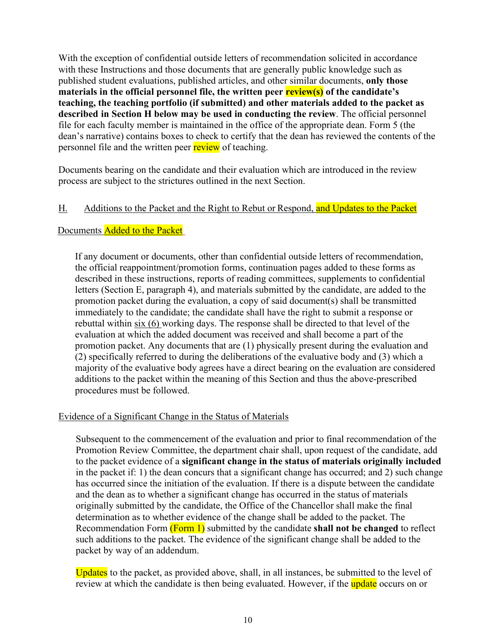With the exception of confidential outside letters of recommendation solicited in accordance with these Instructions and those documents that are generally public knowledge such as published student evaluations, published articles, and other similar documents, **only those materials in the official personnel file, the written peer <b>review(s)** of the candidate's **teaching, the teaching portfolio (if submitted) and other materials added to the packet as described in Section H below may be used in conducting the review**. The official personnel file for each faculty member is maintained in the office of the appropriate dean. Form 5 (the dean's narrative) contains boxes to check to certify that the dean has reviewed the contents of the personnel file and the written peer review of teaching.

Documents bearing on the candidate and their evaluation which are introduced in the review process are subject to the strictures outlined in the next Section.

#### H. Additions to the Packet and the Right to Rebut or Respond, and Updates to the Packet

### Documents Added to the Packet

If any document or documents, other than confidential outside letters of recommendation, the official reappointment/promotion forms, continuation pages added to these forms as described in these instructions, reports of reading committees, supplements to confidential letters (Section E, paragraph 4), and materials submitted by the candidate, are added to the promotion packet during the evaluation, a copy of said document(s) shall be transmitted immediately to the candidate; the candidate shall have the right to submit a response or rebuttal within six (6) working days. The response shall be directed to that level of the evaluation at which the added document was received and shall become a part of the promotion packet. Any documents that are (1) physically present during the evaluation and (2) specifically referred to during the deliberations of the evaluative body and (3) which a majority of the evaluative body agrees have a direct bearing on the evaluation are considered additions to the packet within the meaning of this Section and thus the above-prescribed procedures must be followed.

#### Evidence of a Significant Change in the Status of Materials

Subsequent to the commencement of the evaluation and prior to final recommendation of the Promotion Review Committee, the department chair shall, upon request of the candidate, add to the packet evidence of a **significant change in the status of materials originally included** in the packet if: 1) the dean concurs that a significant change has occurred; and 2) such change has occurred since the initiation of the evaluation. If there is a dispute between the candidate and the dean as to whether a significant change has occurred in the status of materials originally submitted by the candidate, the Office of the Chancellor shall make the final determination as to whether evidence of the change shall be added to the packet. The Recommendation Form (Form 1) submitted by the candidate **shall not be changed** to reflect such additions to the packet. The evidence of the significant change shall be added to the packet by way of an addendum.

Updates to the packet, as provided above, shall, in all instances, be submitted to the level of review at which the candidate is then being evaluated. However, if the update occurs on or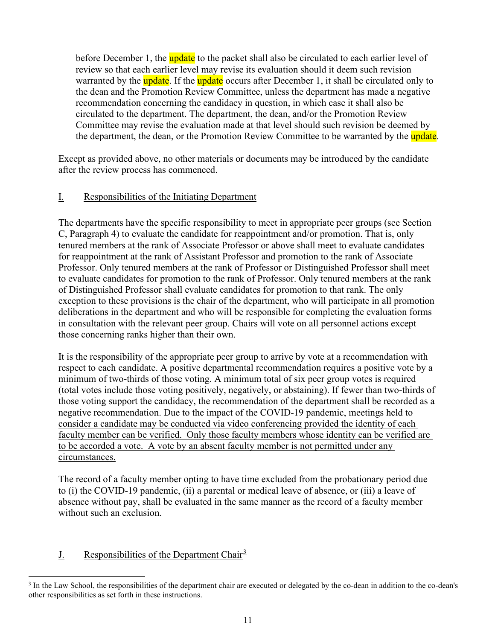before December 1, the update to the packet shall also be circulated to each earlier level of review so that each earlier level may revise its evaluation should it deem such revision warranted by the update. If the update occurs after December 1, it shall be circulated only to the dean and the Promotion Review Committee, unless the department has made a negative recommendation concerning the candidacy in question, in which case it shall also be circulated to the department. The department, the dean, and/or the Promotion Review Committee may revise the evaluation made at that level should such revision be deemed by the department, the dean, or the Promotion Review Committee to be warranted by the update.

Except as provided above, no other materials or documents may be introduced by the candidate after the review process has commenced.

# I. Responsibilities of the Initiating Department

The departments have the specific responsibility to meet in appropriate peer groups (see Section C, Paragraph 4) to evaluate the candidate for reappointment and/or promotion. That is, only tenured members at the rank of Associate Professor or above shall meet to evaluate candidates for reappointment at the rank of Assistant Professor and promotion to the rank of Associate Professor. Only tenured members at the rank of Professor or Distinguished Professor shall meet to evaluate candidates for promotion to the rank of Professor. Only tenured members at the rank of Distinguished Professor shall evaluate candidates for promotion to that rank. The only exception to these provisions is the chair of the department, who will participate in all promotion deliberations in the department and who will be responsible for completing the evaluation forms in consultation with the relevant peer group. Chairs will vote on all personnel actions except those concerning ranks higher than their own.

It is the responsibility of the appropriate peer group to arrive by vote at a recommendation with respect to each candidate. A positive departmental recommendation requires a positive vote by a minimum of two-thirds of those voting. A minimum total of six peer group votes is required (total votes include those voting positively, negatively, or abstaining). If fewer than two-thirds of those voting support the candidacy, the recommendation of the department shall be recorded as a negative recommendation. Due to the impact of the COVID-19 pandemic, meetings held to consider a candidate may be conducted via video conferencing provided the identity of each faculty member can be verified. Only those faculty members whose identity can be verified are to be accorded a vote. A vote by an absent faculty member is not permitted under any circumstances.

The record of a faculty member opting to have time excluded from the probationary period due to (i) the COVID-19 pandemic, (ii) a parental or medical leave of absence, or (iii) a leave of absence without pay, shall be evaluated in the same manner as the record of a faculty member without such an exclusion.

# J. Responsibilities of the Department Chair<sup>[3](#page-10-0)</sup>

<span id="page-10-0"></span><sup>&</sup>lt;sup>3</sup> In the Law School, the responsibilities of the department chair are executed or delegated by the co-dean in addition to the co-dean's other responsibilities as set forth in these instructions.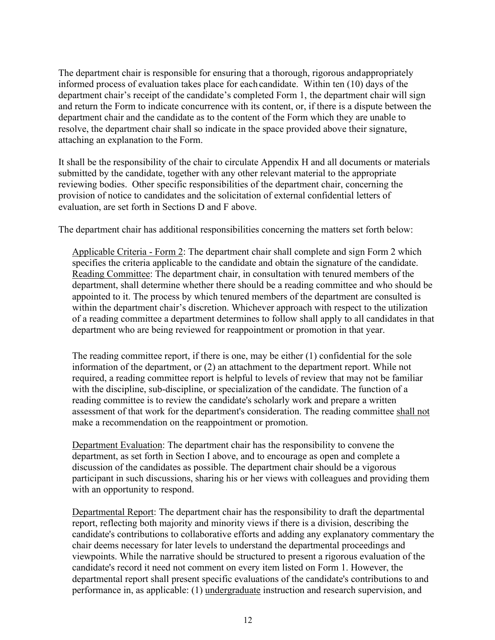The department chair is responsible for ensuring that a thorough, rigorous and appropriately informed process of evaluation takes place for each candidate. Within ten (10) days of the department chair's receipt of the candidate's completed Form 1, the department chair will sign and return the Form to indicate concurrence with its content, or, if there is a dispute between the department chair and the candidate as to the content of the Form which they are unable to resolve, the department chair shall so indicate in the space provided above their signature, attaching an explanation to the Form.

It shall be the responsibility of the chair to circulate Appendix H and all documents or materials submitted by the candidate, together with any other relevant material to the appropriate reviewing bodies. Other specific responsibilities of the department chair, concerning the provision of notice to candidates and the solicitation of external confidential letters of evaluation, are set forth in Sections D and F above.

The department chair has additional responsibilities concerning the matters set forth below:

Applicable Criteria - Form 2: The department chair shall complete and sign Form 2 which specifies the criteria applicable to the candidate and obtain the signature of the candidate. Reading Committee: The department chair, in consultation with tenured members of the department, shall determine whether there should be a reading committee and who should be appointed to it. The process by which tenured members of the department are consulted is within the department chair's discretion. Whichever approach with respect to the utilization of a reading committee a department determines to follow shall apply to all candidates in that department who are being reviewed for reappointment or promotion in that year.

The reading committee report, if there is one, may be either (1) confidential for the sole information of the department, or (2) an attachment to the department report. While not required, a reading committee report is helpful to levels of review that may not be familiar with the discipline, sub-discipline, or specialization of the candidate. The function of a reading committee is to review the candidate's scholarly work and prepare a written assessment of that work for the department's consideration. The reading committee shall not make a recommendation on the reappointment or promotion.

Department Evaluation: The department chair has the responsibility to convene the department, as set forth in Section I above, and to encourage as open and complete a discussion of the candidates as possible. The department chair should be a vigorous participant in such discussions, sharing his or her views with colleagues and providing them with an opportunity to respond.

Departmental Report: The department chair has the responsibility to draft the departmental report, reflecting both majority and minority views if there is a division, describing the candidate's contributions to collaborative efforts and adding any explanatory commentary the chair deems necessary for later levels to understand the departmental proceedings and viewpoints. While the narrative should be structured to present a rigorous evaluation of the candidate's record it need not comment on every item listed on Form 1. However, the departmental report shall present specific evaluations of the candidate's contributions to and performance in, as applicable: (1) undergraduate instruction and research supervision, and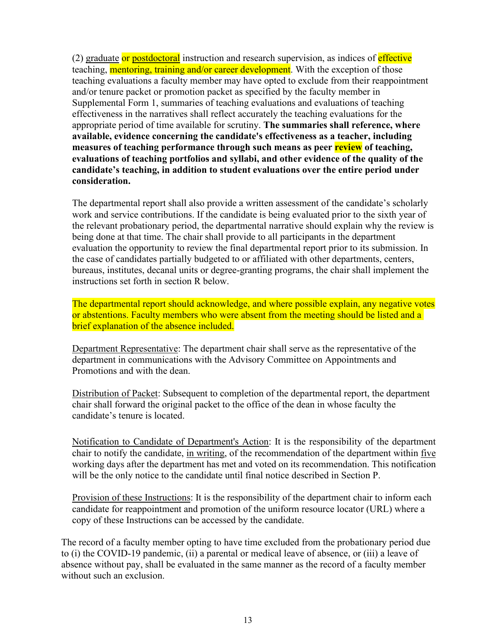(2) graduate or postdoctoral instruction and research supervision, as indices of effective teaching, mentoring, training and/or career development. With the exception of those teaching evaluations a faculty member may have opted to exclude from their reappointment and/or tenure packet or promotion packet as specified by the faculty member in Supplemental Form 1, summaries of teaching evaluations and evaluations of teaching effectiveness in the narratives shall reflect accurately the teaching evaluations for the appropriate period of time available for scrutiny. **The summaries shall reference, where available, evidence concerning the candidate's effectiveness as a teacher, including measures of teaching performance through such means as peer review of teaching, evaluations of teaching portfolios and syllabi, and other evidence of the quality of the candidate's teaching, in addition to student evaluations over the entire period under consideration.** 

The departmental report shall also provide a written assessment of the candidate's scholarly work and service contributions. If the candidate is being evaluated prior to the sixth year of the relevant probationary period, the departmental narrative should explain why the review is being done at that time. The chair shall provide to all participants in the department evaluation the opportunity to review the final departmental report prior to its submission. In the case of candidates partially budgeted to or affiliated with other departments, centers, bureaus, institutes, decanal units or degree-granting programs, the chair shall implement the instructions set forth in section R below.

The departmental report should acknowledge, and where possible explain, any negative votes or abstentions. Faculty members who were absent from the meeting should be listed and a brief explanation of the absence included.

Department Representative: The department chair shall serve as the representative of the department in communications with the Advisory Committee on Appointments and Promotions and with the dean.

Distribution of Packet: Subsequent to completion of the departmental report, the department chair shall forward the original packet to the office of the dean in whose faculty the candidate's tenure is located.

Notification to Candidate of Department's Action: It is the responsibility of the department chair to notify the candidate, in writing, of the recommendation of the department within five working days after the department has met and voted on its recommendation. This notification will be the only notice to the candidate until final notice described in Section P.

Provision of these Instructions: It is the responsibility of the department chair to inform each candidate for reappointment and promotion of the uniform resource locator (URL) where a copy of these Instructions can be accessed by the candidate.

The record of a faculty member opting to have time excluded from the probationary period due to (i) the COVID-19 pandemic, (ii) a parental or medical leave of absence, or (iii) a leave of absence without pay, shall be evaluated in the same manner as the record of a faculty member without such an exclusion.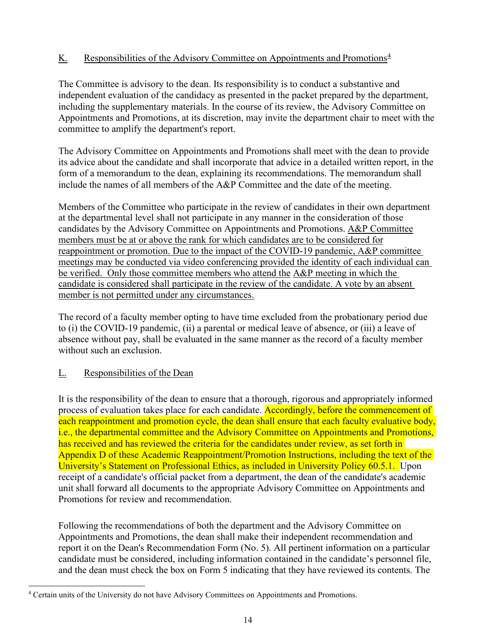# K. Responsibilities of the Advisory Committee on Appointments and Promotions<sup>[4](#page-13-0)</sup>

The Committee is advisory to the dean. Its responsibility is to conduct a substantive and independent evaluation of the candidacy as presented in the packet prepared by the department, including the supplementary materials. In the course of its review, the Advisory Committee on Appointments and Promotions, at its discretion, may invite the department chair to meet with the committee to amplify the department's report.

The Advisory Committee on Appointments and Promotions shall meet with the dean to provide its advice about the candidate and shall incorporate that advice in a detailed written report, in the form of a memorandum to the dean, explaining its recommendations. The memorandum shall include the names of all members of the A&P Committee and the date of the meeting.

Members of the Committee who participate in the review of candidates in their own department at the departmental level shall not participate in any manner in the consideration of those candidates by the Advisory Committee on Appointments and Promotions. A&P Committee members must be at or above the rank for which candidates are to be considered for reappointment or promotion. Due to the impact of the COVID-19 pandemic, A&P committee meetings may be conducted via video conferencing provided the identity of each individual can be verified. Only those committee members who attend the A&P meeting in which the candidate is considered shall participate in the review of the candidate. A vote by an absent member is not permitted under any circumstances.

The record of a faculty member opting to have time excluded from the probationary period due to (i) the COVID-19 pandemic, (ii) a parental or medical leave of absence, or (iii) a leave of absence without pay, shall be evaluated in the same manner as the record of a faculty member without such an exclusion.

# L. Responsibilities of the Dean

It is the responsibility of the dean to ensure that a thorough, rigorous and appropriately informed process of evaluation takes place for each candidate. Accordingly, before the commencement of each reappointment and promotion cycle, the dean shall ensure that each faculty evaluative body, i.e., the departmental committee and the Advisory Committee on Appointments and Promotions, has received and has reviewed the criteria for the candidates under review, as set forth in Appendix D of these Academic Reappointment/Promotion Instructions, including the text of the University's Statement on Professional Ethics, as included in University Policy 60.5.1. Upon receipt of a candidate's official packet from a department, the dean of the candidate's academic unit shall forward all documents to the appropriate Advisory Committee on Appointments and Promotions for review and recommendation.

Following the recommendations of both the department and the Advisory Committee on Appointments and Promotions, the dean shall make their independent recommendation and report it on the Dean's Recommendation Form (No. 5). All pertinent information on a particular candidate must be considered, including information contained in the candidate's personnel file, and the dean must check the box on Form 5 indicating that they have reviewed its contents. The

<span id="page-13-0"></span><sup>4</sup> Certain units of the University do not have Advisory Committees on Appointments and Promotions.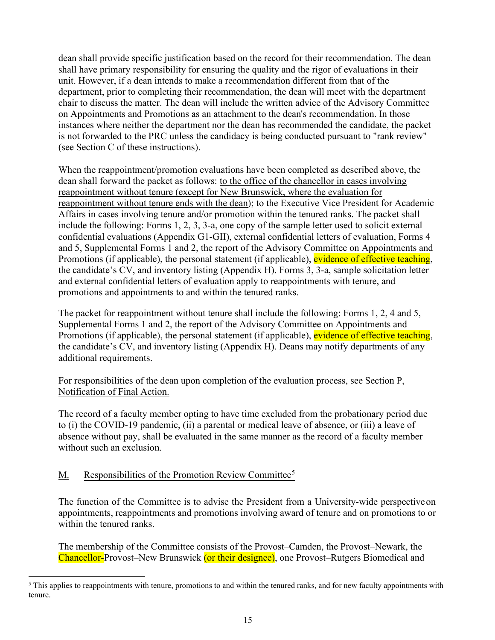dean shall provide specific justification based on the record for their recommendation. The dean shall have primary responsibility for ensuring the quality and the rigor of evaluations in their unit. However, if a dean intends to make a recommendation different from that of the department, prior to completing their recommendation, the dean will meet with the department chair to discuss the matter. The dean will include the written advice of the Advisory Committee on Appointments and Promotions as an attachment to the dean's recommendation. In those instances where neither the department nor the dean has recommended the candidate, the packet is not forwarded to the PRC unless the candidacy is being conducted pursuant to "rank review" (see Section C of these instructions).

When the reappointment/promotion evaluations have been completed as described above, the dean shall forward the packet as follows: to the office of the chancellor in cases involving reappointment without tenure (except for New Brunswick, where the evaluation for reappointment without tenure ends with the dean); to the Executive Vice President for Academic Affairs in cases involving tenure and/or promotion within the tenured ranks. The packet shall include the following: Forms 1, 2, 3, 3-a, one copy of the sample letter used to solicit external confidential evaluations (Appendix G1-GII), external confidential letters of evaluation, Forms 4 and 5, Supplemental Forms 1 and 2, the report of the Advisory Committee on Appointments and Promotions (if applicable), the personal statement (if applicable), evidence of effective teaching, the candidate's CV, and inventory listing (Appendix H). Forms 3, 3-a, sample solicitation letter and external confidential letters of evaluation apply to reappointments with tenure, and promotions and appointments to and within the tenured ranks.

The packet for reappointment without tenure shall include the following: Forms 1, 2, 4 and 5, Supplemental Forms 1 and 2, the report of the Advisory Committee on Appointments and Promotions (if applicable), the personal statement (if applicable), evidence of effective teaching, the candidate's CV, and inventory listing (Appendix H). Deans may notify departments of any additional requirements.

For responsibilities of the dean upon completion of the evaluation process, see Section P, Notification of Final Action.

The record of a faculty member opting to have time excluded from the probationary period due to (i) the COVID-19 pandemic, (ii) a parental or medical leave of absence, or (iii) a leave of absence without pay, shall be evaluated in the same manner as the record of a faculty member without such an exclusion.

# M. Responsibilities of the Promotion Review Committee<sup>[5](#page-14-0)</sup>

The function of the Committee is to advise the President from a University-wide perspective on appointments, reappointments and promotions involving award of tenure and on promotions to or within the tenured ranks.

The membership of the Committee consists of the Provost–Camden, the Provost–Newark, the Chancellor-Provost–New Brunswick (or their designee), one Provost–Rutgers Biomedical and

<span id="page-14-0"></span><sup>&</sup>lt;sup>5</sup> This applies to reappointments with tenure, promotions to and within the tenured ranks, and for new faculty appointments with tenure.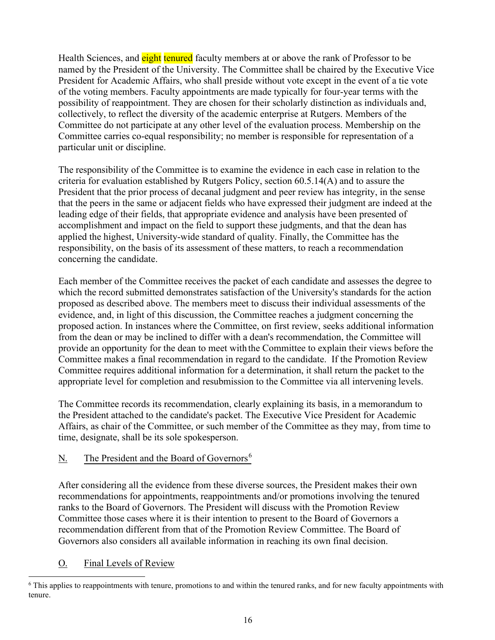Health Sciences, and eight tenured faculty members at or above the rank of Professor to be named by the President of the University. The Committee shall be chaired by the Executive Vice President for Academic Affairs, who shall preside without vote except in the event of a tie vote of the voting members. Faculty appointments are made typically for four-year terms with the possibility of reappointment. They are chosen for their scholarly distinction as individuals and, collectively, to reflect the diversity of the academic enterprise at Rutgers. Members of the Committee do not participate at any other level of the evaluation process. Membership on the Committee carries co-equal responsibility; no member is responsible for representation of a particular unit or discipline.

The responsibility of the Committee is to examine the evidence in each case in relation to the criteria for evaluation established by Rutgers Policy, section 60.5.14(A) and to assure the President that the prior process of decanal judgment and peer review has integrity, in the sense that the peers in the same or adjacent fields who have expressed their judgment are indeed at the leading edge of their fields, that appropriate evidence and analysis have been presented of accomplishment and impact on the field to support these judgments, and that the dean has applied the highest, University-wide standard of quality. Finally, the Committee has the responsibility, on the basis of its assessment of these matters, to reach a recommendation concerning the candidate.

Each member of the Committee receives the packet of each candidate and assesses the degree to which the record submitted demonstrates satisfaction of the University's standards for the action proposed as described above. The members meet to discuss their individual assessments of the evidence, and, in light of this discussion, the Committee reaches a judgment concerning the proposed action. In instances where the Committee, on first review, seeks additional information from the dean or may be inclined to differ with a dean's recommendation, the Committee will provide an opportunity for the dean to meet with the Committee to explain their views before the Committee makes a final recommendation in regard to the candidate. If the Promotion Review Committee requires additional information for a determination, it shall return the packet to the appropriate level for completion and resubmission to the Committee via all intervening levels.

The Committee records its recommendation, clearly explaining its basis, in a memorandum to the President attached to the candidate's packet. The Executive Vice President for Academic Affairs, as chair of the Committee, or such member of the Committee as they may, from time to time, designate, shall be its sole spokesperson.

# N. The President and the Board of Governors<sup>[6](#page-15-0)</sup>

After considering all the evidence from these diverse sources, the President makes their own recommendations for appointments, reappointments and/or promotions involving the tenured ranks to the Board of Governors. The President will discuss with the Promotion Review Committee those cases where it is their intention to present to the Board of Governors a recommendation different from that of the Promotion Review Committee. The Board of Governors also considers all available information in reaching its own final decision.

# O. Final Levels of Review

<span id="page-15-0"></span><sup>6</sup> This applies to reappointments with tenure, promotions to and within the tenured ranks, and for new faculty appointments with tenure.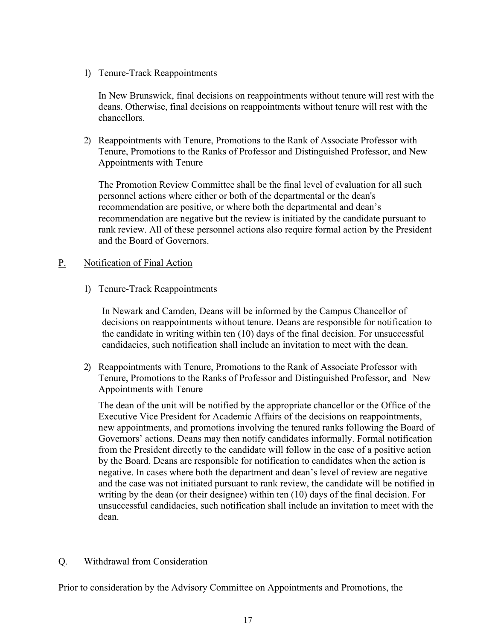1) Tenure-Track Reappointments

In New Brunswick, final decisions on reappointments without tenure will rest with the deans. Otherwise, final decisions on reappointments without tenure will rest with the chancellors.

2) Reappointments with Tenure, Promotions to the Rank of Associate Professor with Tenure, Promotions to the Ranks of Professor and Distinguished Professor, and New Appointments with Tenure

The Promotion Review Committee shall be the final level of evaluation for all such personnel actions where either or both of the departmental or the dean's recommendation are positive, or where both the departmental and dean's recommendation are negative but the review is initiated by the candidate pursuant to rank review. All of these personnel actions also require formal action by the President and the Board of Governors.

### P. Notification of Final Action

1) Tenure-Track Reappointments

In Newark and Camden, Deans will be informed by the Campus Chancellor of decisions on reappointments without tenure. Deans are responsible for notification to the candidate in writing within ten (10) days of the final decision. For unsuccessful candidacies, such notification shall include an invitation to meet with the dean.

2) Reappointments with Tenure, Promotions to the Rank of Associate Professor with Tenure, Promotions to the Ranks of Professor and Distinguished Professor, and New Appointments with Tenure

The dean of the unit will be notified by the appropriate chancellor or the Office of the Executive Vice President for Academic Affairs of the decisions on reappointments, new appointments, and promotions involving the tenured ranks following the Board of Governors' actions. Deans may then notify candidates informally. Formal notification from the President directly to the candidate will follow in the case of a positive action by the Board. Deans are responsible for notification to candidates when the action is negative. In cases where both the department and dean's level of review are negative and the case was not initiated pursuant to rank review, the candidate will be notified in writing by the dean (or their designee) within ten (10) days of the final decision. For unsuccessful candidacies, such notification shall include an invitation to meet with the dean.

# Q. Withdrawal from Consideration

Prior to consideration by the Advisory Committee on Appointments and Promotions, the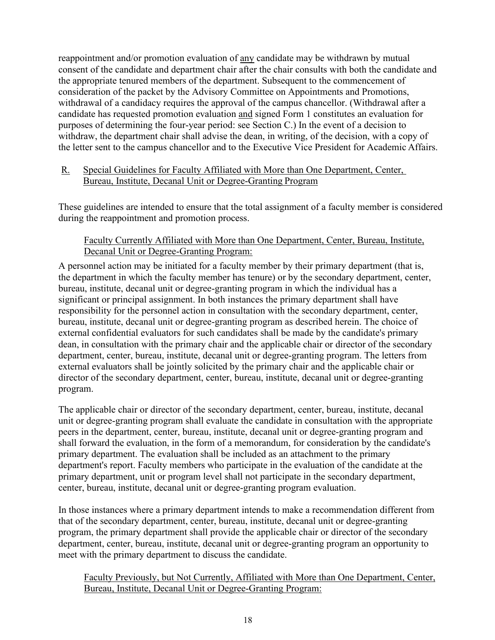reappointment and/or promotion evaluation of any candidate may be withdrawn by mutual consent of the candidate and department chair after the chair consults with both the candidate and the appropriate tenured members of the department. Subsequent to the commencement of consideration of the packet by the Advisory Committee on Appointments and Promotions, withdrawal of a candidacy requires the approval of the campus chancellor. (Withdrawal after a candidate has requested promotion evaluation and signed Form 1 constitutes an evaluation for purposes of determining the four-year period: see Section C.) In the event of a decision to withdraw, the department chair shall advise the dean, in writing, of the decision, with a copy of the letter sent to the campus chancellor and to the Executive Vice President for Academic Affairs.

R. Special Guidelines for Faculty Affiliated with More than One Department, Center, Bureau, Institute, Decanal Unit or Degree-Granting Program

These guidelines are intended to ensure that the total assignment of a faculty member is considered during the reappointment and promotion process.

# Faculty Currently Affiliated with More than One Department, Center, Bureau, Institute, Decanal Unit or Degree-Granting Program:

A personnel action may be initiated for a faculty member by their primary department (that is, the department in which the faculty member has tenure) or by the secondary department, center, bureau, institute, decanal unit or degree-granting program in which the individual has a significant or principal assignment. In both instances the primary department shall have responsibility for the personnel action in consultation with the secondary department, center, bureau, institute, decanal unit or degree-granting program as described herein. The choice of external confidential evaluators for such candidates shall be made by the candidate's primary dean, in consultation with the primary chair and the applicable chair or director of the secondary department, center, bureau, institute, decanal unit or degree-granting program. The letters from external evaluators shall be jointly solicited by the primary chair and the applicable chair or director of the secondary department, center, bureau, institute, decanal unit or degree-granting program.

The applicable chair or director of the secondary department, center, bureau, institute, decanal unit or degree-granting program shall evaluate the candidate in consultation with the appropriate peers in the department, center, bureau, institute, decanal unit or degree-granting program and shall forward the evaluation, in the form of a memorandum, for consideration by the candidate's primary department. The evaluation shall be included as an attachment to the primary department's report. Faculty members who participate in the evaluation of the candidate at the primary department, unit or program level shall not participate in the secondary department, center, bureau, institute, decanal unit or degree-granting program evaluation.

In those instances where a primary department intends to make a recommendation different from that of the secondary department, center, bureau, institute, decanal unit or degree-granting program, the primary department shall provide the applicable chair or director of the secondary department, center, bureau, institute, decanal unit or degree-granting program an opportunity to meet with the primary department to discuss the candidate.

Faculty Previously, but Not Currently, Affiliated with More than One Department, Center, Bureau, Institute, Decanal Unit or Degree-Granting Program: